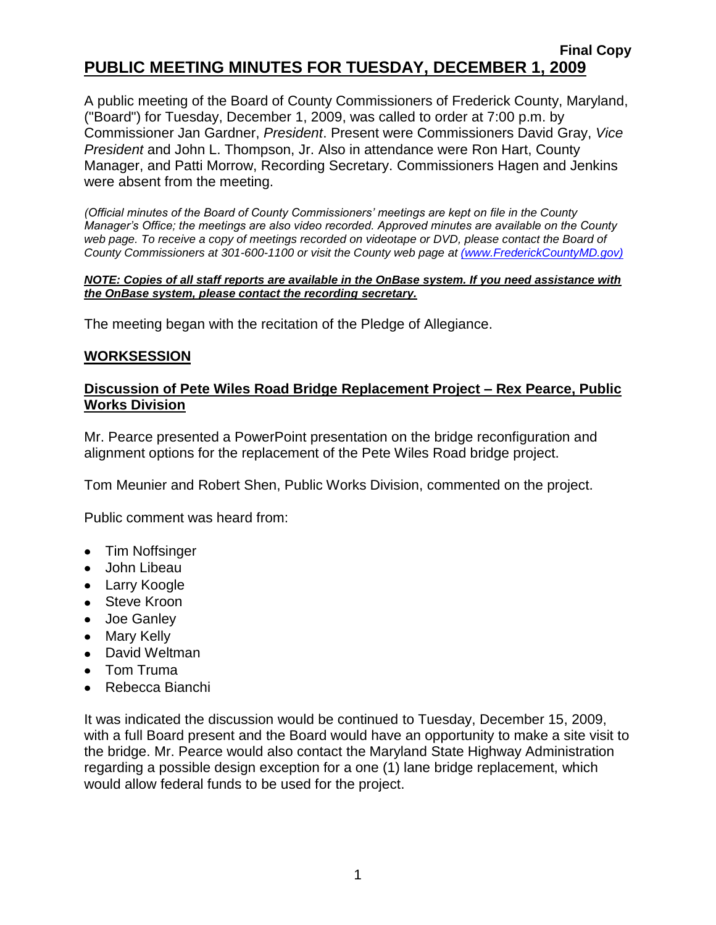# **Final Copy PUBLIC MEETING MINUTES FOR TUESDAY, DECEMBER 1, 2009**

A public meeting of the Board of County Commissioners of Frederick County, Maryland, ("Board") for Tuesday, December 1, 2009, was called to order at 7:00 p.m. by Commissioner Jan Gardner, *President*. Present were Commissioners David Gray, *Vice President* and John L. Thompson, Jr. Also in attendance were Ron Hart, County Manager, and Patti Morrow, Recording Secretary. Commissioners Hagen and Jenkins were absent from the meeting.

*(Official minutes of the Board of County Commissioners' meetings are kept on file in the County Manager's Office; the meetings are also video recorded. Approved minutes are available on the County*  web page. To receive a copy of meetings recorded on videotape or DVD, please contact the Board of *County Commissioners at 301-600-1100 or visit the County web page at [\(www.FrederickCountyMD.gov\)]((www.FrederickCountyMD.gov))*

#### *NOTE: Copies of all staff reports are available in the OnBase system. If you need assistance with the OnBase system, please contact the recording secretary.*

The meeting began with the recitation of the Pledge of Allegiance.

#### **WORKSESSION**

### **Discussion of Pete Wiles Road Bridge Replacement Project – Rex Pearce, Public Works Division**

Mr. Pearce presented a PowerPoint presentation on the bridge reconfiguration and alignment options for the replacement of the Pete Wiles Road bridge project.

Tom Meunier and Robert Shen, Public Works Division, commented on the project.

Public comment was heard from:

- Tim Noffsinger
- John Libeau
- Larry Koogle
- Steve Kroon
- Joe Ganley
- Mary Kelly
- David Weltman
- Tom Truma
- Rebecca Bianchi

It was indicated the discussion would be continued to Tuesday, December 15, 2009, with a full Board present and the Board would have an opportunity to make a site visit to the bridge. Mr. Pearce would also contact the Maryland State Highway Administration regarding a possible design exception for a one (1) lane bridge replacement, which would allow federal funds to be used for the project.